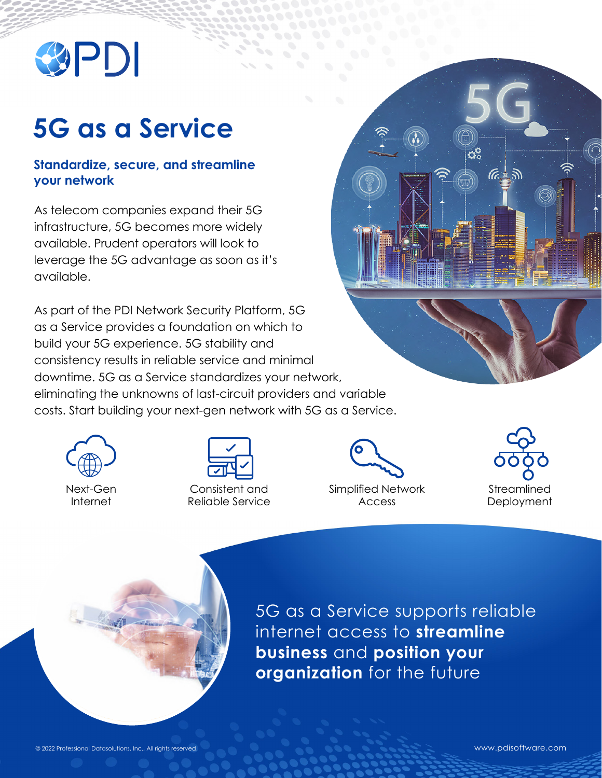

## **5G as a Service**

## **Standardize, secure, and streamline your network**

As telecom companies expand their 5G infrastructure, 5G becomes more widely available. Prudent operators will look to leverage the 5G advantage as soon as it's available.

As part of the PDI Network Security Platform, 5G as a Service provides a foundation on which to build your 5G experience. 5G stability and consistency results in reliable service and minimal downtime. 5G as a Service standardizes your network, eliminating the unknowns of last-circuit providers and variable costs. Start building your next-gen network with 5G as a Service.



Next-Gen Internet

Consistent and Reliable Service Simplified Network Access



Öå

 $(6 + 3)$ 



5G as a Service supports reliable internet access to **streamline business** and **position your organization** for the future